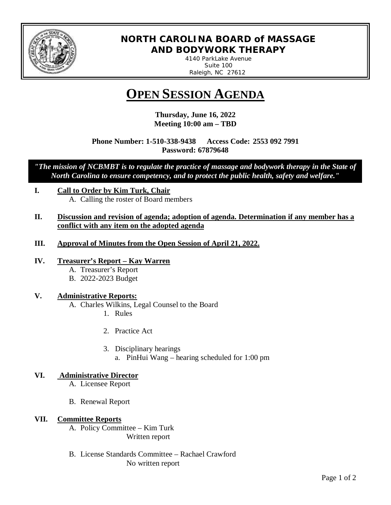

# **NORTH CAROLINA BOARD of MASSAGE AND BODYWORK THERAPY**

*4140 ParkLake Avenue Suite 100 Raleigh, NC 27612* 

# **OPEN SESSION AGENDA**

**Thursday, June 16, 2022 Meeting 10:00 am – TBD**

**Phone Number: 1-510-338-9438 Access Code: 2553 092 7991 Password: 67879648**

*"The mission of NCBMBT is to regulate the practice of massage and bodywork therapy in the State of North Carolina to ensure competency, and to protect the public health, safety and welfare."*

- **I. Call to Order by Kim Turk, Chair** A. Calling the roster of Board members
- **II. Discussion and revision of agenda; adoption of agenda. Determination if any member has a conflict with any item on the adopted agenda**
- **III. Approval of Minutes from the Open Session of April 21, 2022.**
- **IV. Treasurer's Report – Kay Warren**
	- A. Treasurer's Report
	- B. 2022-2023 Budget

### **V. Administrative Reports:**

- A. Charles Wilkins, Legal Counsel to the Board
	- 1. Rules
	- 2. Practice Act
	- 3. Disciplinary hearings
		- a. PinHui Wang hearing scheduled for 1:00 pm

## **VI. Administrative Director**

- A. Licensee Report
- B. Renewal Report

## **VII. Committee Reports**

A. Policy Committee – Kim Turk Written report

B. License Standards Committee – Rachael Crawford No written report